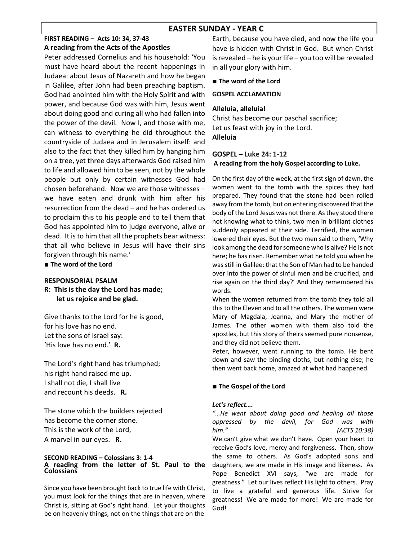## EASTER SUNDAY - YEAR C

## FIRST READING – Acts 10: 34, 37-43 A reading from the Acts of the Apostles

Peter addressed Cornelius and his household: 'You must have heard about the recent happenings in Judaea: about Jesus of Nazareth and how he began in Galilee, after John had been preaching baptism. God had anointed him with the Holy Spirit and with power, and because God was with him, Jesus went about doing good and curing all who had fallen into the power of the devil. Now I, and those with me, can witness to everything he did throughout the countryside of Judaea and in Jerusalem itself: and also to the fact that they killed him by hanging him on a tree, yet three days afterwards God raised him to life and allowed him to be seen, not by the whole people but only by certain witnesses God had chosen beforehand. Now we are those witnesses – we have eaten and drunk with him after his resurrection from the dead – and he has ordered us to proclaim this to his people and to tell them that God has appointed him to judge everyone, alive or dead. It is to him that all the prophets bear witness: that all who believe in Jesus will have their sins forgiven through his name.'

■ The word of the Lord

#### RESPONSORIAL PSALM R: This is the day the Lord has made;

let us rejoice and be glad.

Give thanks to the Lord for he is good, for his love has no end. Let the sons of Israel say: 'His love has no end.' R.

The Lord's right hand has triumphed; his right hand raised me up. I shall not die, I shall live and recount his deeds. R.

The stone which the builders rejected has become the corner stone. This is the work of the Lord, A marvel in our eyes. R.

#### SECOND READING – Colossians 3: 1-4 A reading from the letter of St. Paul to the **Colossians**

Since you have been brought back to true life with Christ, you must look for the things that are in heaven, where Christ is, sitting at God's right hand. Let your thoughts be on heavenly things, not on the things that are on the

Earth, because you have died, and now the life you have is hidden with Christ in God. But when Christ is revealed – he is your life – you too will be revealed in all your glory with him.

#### ■ The word of the Lord

#### GOSPEL ACCLAMATION

#### Alleluia, alleluia!

Christ has become our paschal sacrifice; Let us feast with joy in the Lord. Alleluia

### GOSPEL – Luke 24: 1-12 A reading from the holy Gospel according to Luke.

On the first day of the week, at the first sign of dawn, the women went to the tomb with the spices they had prepared. They found that the stone had been rolled away from the tomb, but on entering discovered that the body of the Lord Jesus was not there. As they stood there not knowing what to think, two men in brilliant clothes suddenly appeared at their side. Terrified, the women lowered their eyes. But the two men said to them, 'Why look among the dead for someone who is alive? He is not here; he has risen. Remember what he told you when he was still in Galilee: that the Son of Man had to be handed over into the power of sinful men and be crucified, and rise again on the third day?' And they remembered his words.

When the women returned from the tomb they told all this to the Eleven and to all the others. The women were Mary of Magdala, Joanna, and Mary the mother of James. The other women with them also told the apostles, but this story of theirs seemed pure nonsense, and they did not believe them.

Peter, however, went running to the tomb. He bent down and saw the binding cloths, but nothing else; he then went back home, amazed at what had happened.

#### ■ The Gospel of the Lord

#### Let's reflect….

"…He went about doing good and healing all those oppressed by the devil, for God was with him." (ACTS 10:38) We can't give what we don't have. Open your heart to receive God's love, mercy and forgiveness. Then, show the same to others. As God's adopted sons and daughters, we are made in His image and likeness. As Pope Benedict XVI says, "we are made for greatness." Let our lives reflect His light to others. Pray to live a grateful and generous life. Strive for greatness! We are made for more! We are made for God!